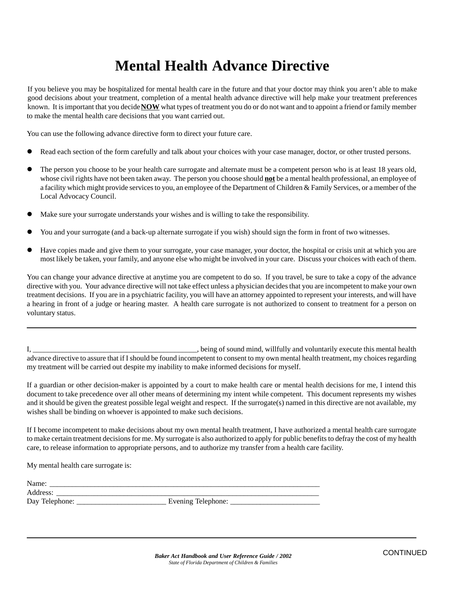## **Mental Health Advance Directive**

If you believe you may be hospitalized for mental health care in the future and that your doctor may think you aren't able to make good decisions about your treatment, completion of a mental health advance directive will help make your treatment preferences known. It is important that you decide **NOW** what types of treatment you do or do not want and to appoint a friend or family member to make the mental health care decisions that you want carried out.

You can use the following advance directive form to direct your future care.

- Read each section of the form carefully and talk about your choices with your case manager, doctor, or other trusted persons.
- ! The person you choose to be your health care surrogate and alternate must be a competent person who is at least 18 years old, whose civil rights have not been taken away. The person you choose should **not** be a mental health professional, an employee of a facility which might provide services to you, an employee of the Department of Children & Family Services, or a member of the Local Advocacy Council.
- ! Make sure your surrogate understands your wishes and is willing to take the responsibility.
- You and your surrogate (and a back-up alternate surrogate if you wish) should sign the form in front of two witnesses.
- ! Have copies made and give them to your surrogate, your case manager, your doctor, the hospital or crisis unit at which you are most likely be taken, your family, and anyone else who might be involved in your care. Discuss your choices with each of them.

You can change your advance directive at anytime you are competent to do so. If you travel, be sure to take a copy of the advance directive with you. Your advance directive will not take effect unless a physician decides that you are incompetent to make your own treatment decisions. If you are in a psychiatric facility, you will have an attorney appointed to represent your interests, and will have a hearing in front of a judge or hearing master. A health care surrogate is not authorized to consent to treatment for a person on voluntary status.

I, \_\_\_\_\_\_\_\_\_\_\_\_\_\_\_\_\_\_\_\_\_\_\_\_\_\_\_\_\_\_\_, being of sound mind, willfully and voluntarily execute this mental health advance directive to assure that if I should be found incompetent to consent to my own mental health treatment, my choices regarding my treatment will be carried out despite my inability to make informed decisions for myself.

If a guardian or other decision-maker is appointed by a court to make health care or mental health decisions for me, I intend this document to take precedence over all other means of determining my intent while competent. This document represents my wishes and it should be given the greatest possible legal weight and respect. If the surrogate(s) named in this directive are not available, my wishes shall be binding on whoever is appointed to make such decisions.

If I become incompetent to make decisions about my own mental health treatment, I have authorized a mental health care surrogate to make certain treatment decisions for me. My surrogate is also authorized to apply for public benefits to defray the cost of my health care, to release information to appropriate persons, and to authorize my transfer from a health care facility.

My mental health care surrogate is:

| Name:          |                    |  |
|----------------|--------------------|--|
| Address:       |                    |  |
| Day Telephone: | Evening Telephone: |  |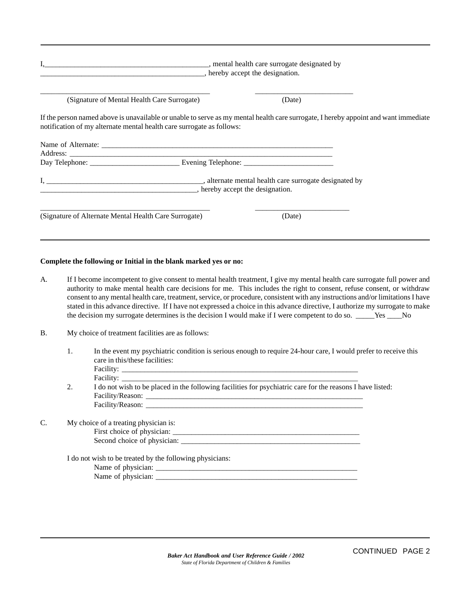|                                                                       | _, hereby accept the designation.                                                                                                   |
|-----------------------------------------------------------------------|-------------------------------------------------------------------------------------------------------------------------------------|
| (Signature of Mental Health Care Surrogate)                           | (Date)                                                                                                                              |
| notification of my alternate mental health care surrogate as follows: | If the person named above is unavailable or unable to serve as my mental health care surrogate, I hereby appoint and want immediate |
|                                                                       |                                                                                                                                     |
|                                                                       |                                                                                                                                     |
|                                                                       |                                                                                                                                     |
|                                                                       |                                                                                                                                     |
| (Signature of Alternate Mental Health Care Surrogate)                 | (Date)                                                                                                                              |

## **Complete the following or Initial in the blank marked yes or no:**

- A. If I become incompetent to give consent to mental health treatment, I give my mental health care surrogate full power and authority to make mental health care decisions for me. This includes the right to consent, refuse consent, or withdraw consent to any mental health care, treatment, service, or procedure, consistent with any instructions and/or limitations I have stated in this advance directive. If I have not expressed a choice in this advance directive, I authorize my surrogate to make the decision my surrogate determines is the decision I would make if I were competent to do so. \_\_\_\_\_Yes \_\_\_\_No
- B. My choice of treatment facilities are as follows:
	- 1. In the event my psychiatric condition is serious enough to require 24-hour care, I would prefer to receive this care in this/these facilities:
		- Facility: \_ Facility: \_\_\_\_\_\_\_\_\_\_\_\_\_\_\_\_\_\_\_\_\_\_\_\_\_\_\_\_\_\_\_\_\_\_\_\_\_\_\_\_\_\_\_\_\_\_\_\_\_\_\_\_\_\_\_\_\_\_\_\_\_\_\_
	- 2. I do not wish to be placed in the following facilities for psychiatric care for the reasons I have listed: Facility/Reason: \_\_\_\_\_\_\_\_\_\_\_\_\_\_\_\_\_\_\_\_\_\_\_\_\_\_\_\_\_\_\_\_\_\_\_\_\_\_\_\_\_\_\_\_\_\_\_\_\_\_\_\_\_\_\_\_\_\_ Facility/Reason: \_\_\_\_\_\_\_\_\_\_\_\_\_\_\_\_\_\_\_\_\_\_\_\_\_\_\_\_\_\_\_\_\_\_\_\_\_\_\_\_\_\_\_\_\_\_\_\_\_\_\_\_\_\_\_\_\_\_

## C. My choice of a treating physician is:

First choice of physician: \_\_\_\_\_\_\_\_\_\_\_\_\_\_\_\_\_\_\_\_\_\_\_\_\_\_\_\_\_\_\_\_\_\_\_\_\_\_\_\_\_\_\_\_\_\_\_\_\_\_ Second choice of physician: \_\_\_\_\_\_\_\_\_\_\_\_\_\_\_\_\_\_\_\_\_\_\_\_\_\_\_\_\_\_\_\_\_\_\_\_\_\_\_\_\_\_\_\_\_\_\_\_

I do not wish to be treated by the following physicians:

| Name<br>້          |  |
|--------------------|--|
| Name of<br>v.<br>. |  |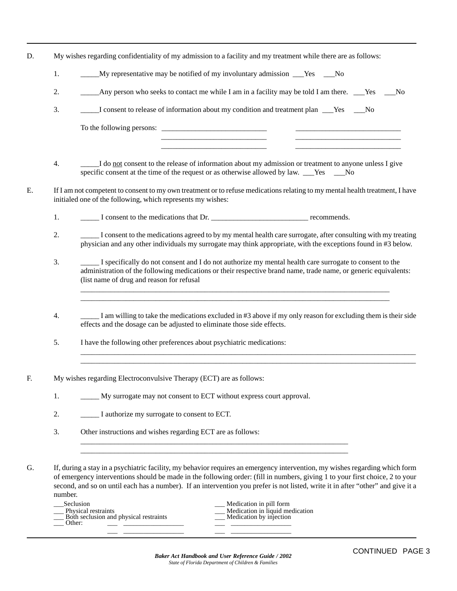- D. My wishes regarding confidentiality of my admission to a facility and my treatment while there are as follows:
	- 1. \_\_\_\_\_\_\_My representative may be notified of my involuntary admission \_\_\_Yes \_\_\_No
	- 2. Any person who seeks to contact me while I am in a facility may be told I am there. Yes No
	- 3.  $\qquad \qquad$  I consent to release of information about my condition and treatment plan  $\qquad$  Yes  $\qquad$  No

To the following persons: \_\_\_\_\_\_\_\_\_\_\_\_\_\_\_\_\_\_\_\_\_\_\_\_\_\_\_\_ \_\_\_\_\_\_\_\_\_\_\_\_\_\_\_\_\_\_\_\_\_\_\_\_\_\_\_\_

4. \_\_\_\_\_I do not consent to the release of information about my admission or treatment to anyone unless I give specific consent at the time of the request or as otherwise allowed by law. \_\_\_Yes \_\_\_No

\_\_\_\_\_\_\_\_\_\_\_\_\_\_\_\_\_\_\_\_\_\_\_\_\_\_\_\_ \_\_\_\_\_\_\_\_\_\_\_\_\_\_\_\_\_\_\_\_\_\_\_\_\_\_\_\_ \_\_\_\_\_\_\_\_\_\_\_\_\_\_\_\_\_\_\_\_\_\_\_\_\_\_\_\_ \_\_\_\_\_\_\_\_\_\_\_\_\_\_\_\_\_\_\_\_\_\_\_\_\_\_\_\_

E. If I am not competent to consent to my own treatment or to refuse medications relating to my mental health treatment, I have initialed one of the following, which represents my wishes:

1.  $\qquad \qquad$  I consent to the medications that Dr.

- 2. \_\_\_\_\_ I consent to the medications agreed to by my mental health care surrogate, after consulting with my treating physician and any other individuals my surrogate may think appropriate, with the exceptions found in #3 below.
- 3. \_\_\_\_\_ I specifically do not consent and I do not authorize my mental health care surrogate to consent to the administration of the following medications or their respective brand name, trade name, or generic equivalents: (list name of drug and reason for refusal

\_\_\_\_\_\_\_\_\_\_\_\_\_\_\_\_\_\_\_\_\_\_\_\_\_\_\_\_\_\_\_\_\_\_\_\_\_\_\_\_\_\_\_\_\_\_\_\_\_\_\_\_\_\_\_\_\_\_\_\_\_\_\_\_\_\_\_\_\_\_\_\_\_\_\_\_\_\_\_\_\_\_ \_\_\_\_\_\_\_\_\_\_\_\_\_\_\_\_\_\_\_\_\_\_\_\_\_\_\_\_\_\_\_\_\_\_\_\_\_\_\_\_\_\_\_\_\_\_\_\_\_\_\_\_\_\_\_\_\_\_\_\_\_\_\_\_\_\_\_\_\_\_\_\_\_\_\_\_\_\_\_\_\_\_

4. \_\_\_\_\_ I am willing to take the medications excluded in #3 above if my only reason for excluding them is their side effects and the dosage can be adjusted to eliminate those side effects.

\_\_\_\_\_\_\_\_\_\_\_\_\_\_\_\_\_\_\_\_\_\_\_\_\_\_\_\_\_\_\_\_\_\_\_\_\_\_\_\_\_\_\_\_\_\_\_\_\_\_\_\_\_\_\_\_\_\_\_\_\_\_\_\_\_\_\_\_\_\_\_\_\_\_\_\_\_\_\_\_\_\_\_\_\_\_\_\_\_ \_\_\_\_\_\_\_\_\_\_\_\_\_\_\_\_\_\_\_\_\_\_\_\_\_\_\_\_\_\_\_\_\_\_\_\_\_\_\_\_\_\_\_\_\_\_\_\_\_\_\_\_\_\_\_\_\_\_\_\_\_\_\_\_\_\_\_\_\_\_\_\_\_\_\_\_\_\_\_\_\_\_\_\_\_\_\_\_\_

- 5. I have the following other preferences about psychiatric medications:
- F. My wishes regarding Electroconvulsive Therapy (ECT) are as follows:
	- 1. My surrogate may not consent to ECT without express court approval.
	- 2. \_\_\_\_\_ I authorize my surrogate to consent to ECT.
	- 3. Other instructions and wishes regarding ECT are as follows:
- G. If, during a stay in a psychiatric facility, my behavior requires an emergency intervention, my wishes regarding which form of emergency interventions should be made in the following order: (fill in numbers, giving 1 to your first choice, 2 to your second, and so on until each has a number). If an intervention you prefer is not listed, write it in after "other" and give it a number.

\_\_\_\_\_\_\_\_\_\_\_\_\_\_\_\_\_\_\_\_\_\_\_\_\_\_\_\_\_\_\_\_\_\_\_\_\_\_\_\_\_\_\_\_\_\_\_\_\_\_\_\_\_\_\_\_\_\_\_\_\_\_\_\_\_\_\_\_\_\_\_ \_\_\_\_\_\_\_\_\_\_\_\_\_\_\_\_\_\_\_\_\_\_\_\_\_\_\_\_\_\_\_\_\_\_\_\_\_\_\_\_\_\_\_\_\_\_\_\_\_\_\_\_\_\_\_\_\_\_\_\_\_\_\_\_\_\_\_\_\_\_\_

| Seclusion<br>Physical restraints<br>Both seclusion and physical restraints<br>Other: | Medication in pill form<br>Medication in liquid medication<br>Medication by injection |
|--------------------------------------------------------------------------------------|---------------------------------------------------------------------------------------|
|                                                                                      |                                                                                       |